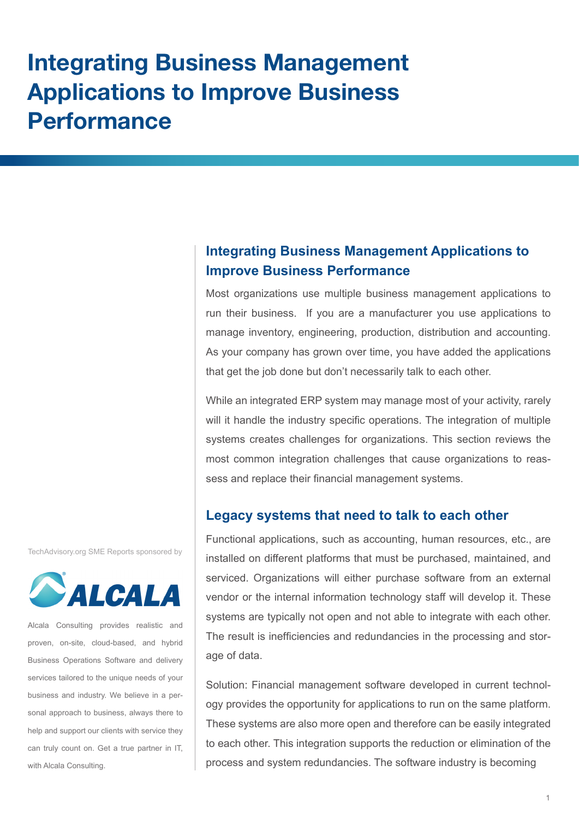# **Integrating Business Management Applications to Improve Business Performance**

# **Integrating Business Management Applications to Improve Business Performance**

Most organizations use multiple business management applications to run their business. If you are a manufacturer you use applications to manage inventory, engineering, production, distribution and accounting. As your company has grown over time, you have added the applications that get the job done but don't necessarily talk to each other.

While an integrated ERP system may manage most of your activity, rarely will it handle the industry specific operations. The integration of multiple systems creates challenges for organizations. This section reviews the most common integration challenges that cause organizations to reassess and replace their financial management systems.

# **Legacy systems that need to talk to each other**

Functional applications, such as accounting, human resources, etc., are installed on different platforms that must be purchased, maintained, and serviced. Organizations will either purchase software from an external vendor or the internal information technology staff will develop it. These systems are typically not open and not able to integrate with each other. The result is inefficiencies and redundancies in the processing and storage of data.

Solution: Financial management software developed in current technology provides the opportunity for applications to run on the same platform. These systems are also more open and therefore can be easily integrated to each other. This integration supports the reduction or elimination of the process and system redundancies. The software industry is becoming

TechAdvisory.org SME Reports sponsored by



Alcala Consulting provides realistic and proven, on-site, cloud-based, and hybrid Business Operations Software and delivery services tailored to the unique needs of your business and industry. We believe in a personal approach to business, always there to help and support our clients with service they can truly count on. Get a true partner in IT, with Alcala Consulting.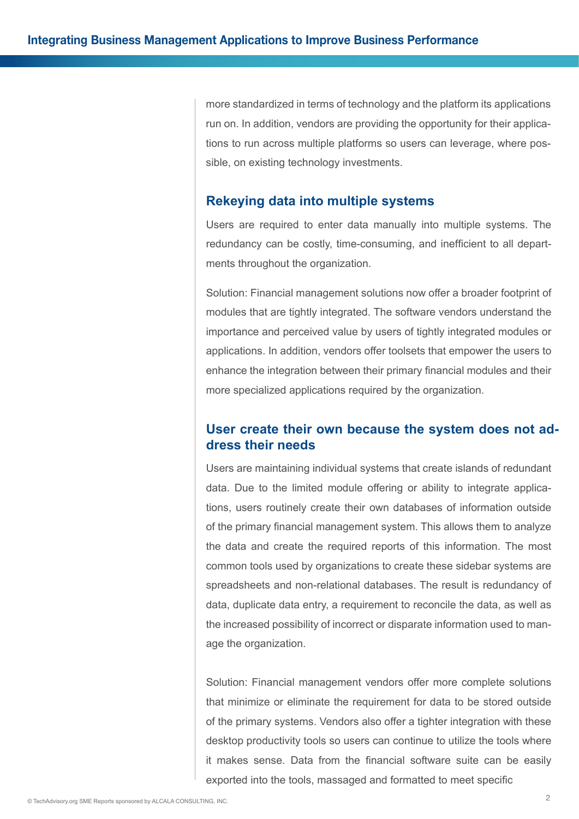more standardized in terms of technology and the platform its applications run on. In addition, vendors are providing the opportunity for their applications to run across multiple platforms so users can leverage, where possible, on existing technology investments.

#### **Rekeying data into multiple systems**

Users are required to enter data manually into multiple systems. The redundancy can be costly, time-consuming, and inefficient to all departments throughout the organization.

Solution: Financial management solutions now offer a broader footprint of modules that are tightly integrated. The software vendors understand the importance and perceived value by users of tightly integrated modules or applications. In addition, vendors offer toolsets that empower the users to enhance the integration between their primary financial modules and their more specialized applications required by the organization.

# **User create their own because the system does not address their needs**

Users are maintaining individual systems that create islands of redundant data. Due to the limited module offering or ability to integrate applications, users routinely create their own databases of information outside of the primary financial management system. This allows them to analyze the data and create the required reports of this information. The most common tools used by organizations to create these sidebar systems are spreadsheets and non-relational databases. The result is redundancy of data, duplicate data entry, a requirement to reconcile the data, as well as the increased possibility of incorrect or disparate information used to manage the organization.

Solution: Financial management vendors offer more complete solutions that minimize or eliminate the requirement for data to be stored outside of the primary systems. Vendors also offer a tighter integration with these desktop productivity tools so users can continue to utilize the tools where it makes sense. Data from the financial software suite can be easily exported into the tools, massaged and formatted to meet specific